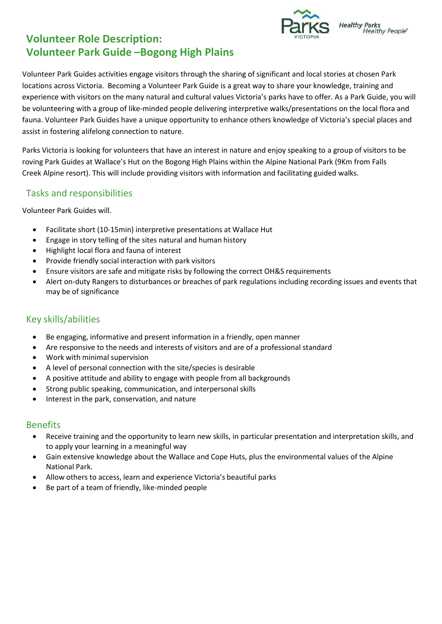

## **Volunteer Role Description: Volunteer Park Guide –Bogong High Plains**

Volunteer Park Guides activities engage visitors through the sharing of significant and local stories at chosen Park locations across Victoria. Becoming a Volunteer Park Guide is a great way to share your knowledge, training and experience with visitors on the many natural and cultural values Victoria's parks have to offer. As a Park Guide, you will be volunteering with a group of like-minded people delivering interpretive walks/presentations on the local flora and fauna. Volunteer Park Guides have a unique opportunity to enhance others knowledge of Victoria's special places and assist in fostering alifelong connection to nature.

Parks Victoria is looking for volunteers that have an interest in nature and enjoy speaking to a group of visitors to be roving Park Guides at Wallace's Hut on the Bogong High Plains within the Alpine National Park (9Km from Falls Creek Alpine resort). This will include providing visitors with information and facilitating guided walks.

#### Tasks and responsibilities

Volunteer Park Guides will.

- Facilitate short (10-15min) interpretive presentations at Wallace Hut
- Engage in story telling of the sites natural and human history
- Highlight local flora and fauna of interest
- Provide friendly social interaction with park visitors
- Ensure visitors are safe and mitigate risks by following the correct OH&S requirements
- Alert on-duty Rangers to disturbances or breaches of park regulations including recording issues and events that may be of significance

## Key skills/abilities

- Be engaging, informative and present information in a friendly, open manner
- Are responsive to the needs and interests of visitors and are of a professional standard
- Work with minimal supervision
- A level of personal connection with the site/species is desirable
- A positive attitude and ability to engage with people from all backgrounds
- Strong public speaking, communication, and interpersonal skills
- Interest in the park, conservation, and nature

#### Benefits

- Receive training and the opportunity to learn new skills, in particular presentation and interpretation skills, and to apply your learning in a meaningful way
- Gain extensive knowledge about the Wallace and Cope Huts, plus the environmental values of the Alpine National Park.
- Allow others to access, learn and experience Victoria's beautiful parks
- Be part of a team of friendly, like-minded people